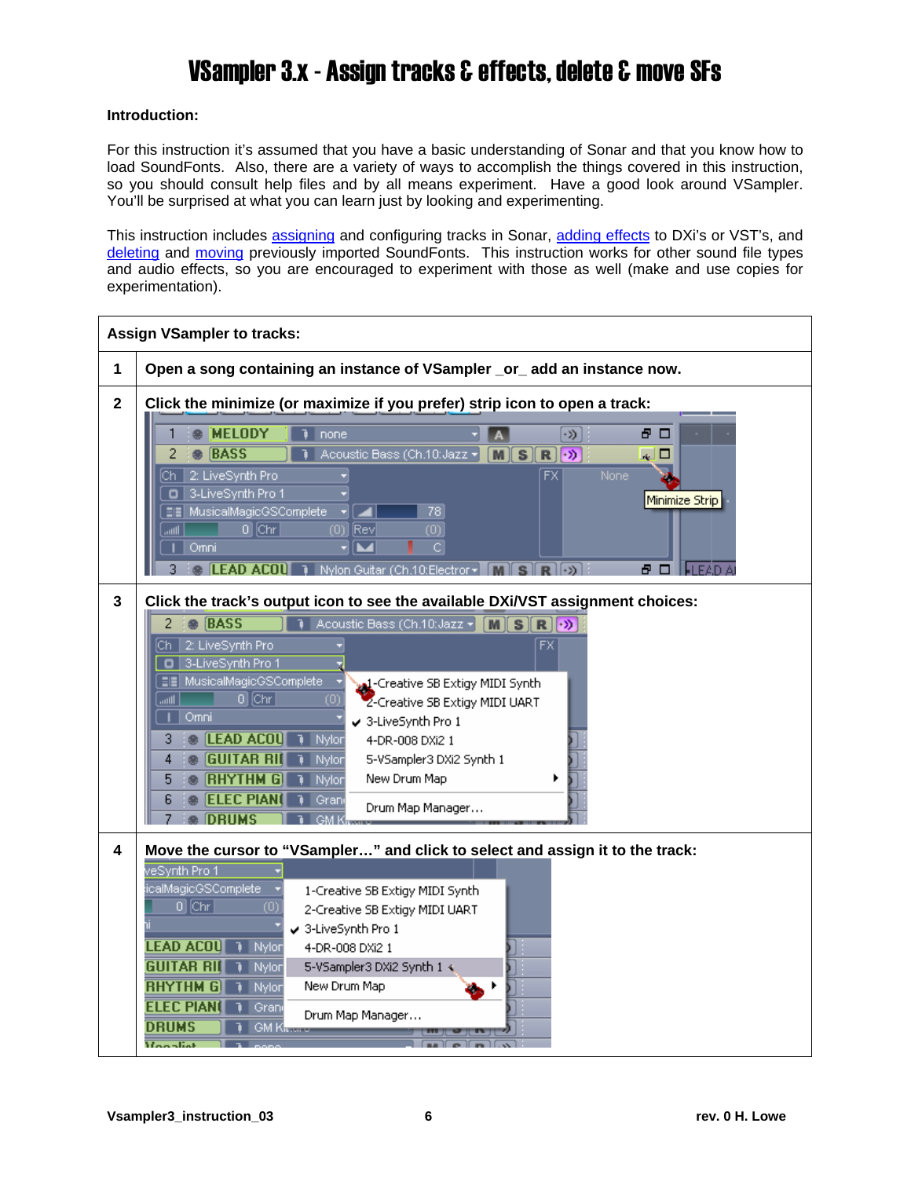#### <span id="page-0-0"></span>**Introduction:**

For this instruction it's assumed that you have a basic understanding of Sonar and that you know how to load SoundFonts. Also, there are a variety of ways to accomplish the things covered in this instruction, so you should consult help files and by all means experiment. Have a good look around VSampler. You'll be surprised at what you can learn just by looking and experimenting.

This instruction includes [assigning](#page-0-0) and configuring tracks in Sonar, [adding effects](#page-2-0) to DXi's or VST's, and [deleting](#page-3-0) and [moving](#page-4-0) previously imported SoundFonts. This instruction works for other sound file types and audio effects, so you are encouraged to experiment with those as well (make and use copies for experimentation).

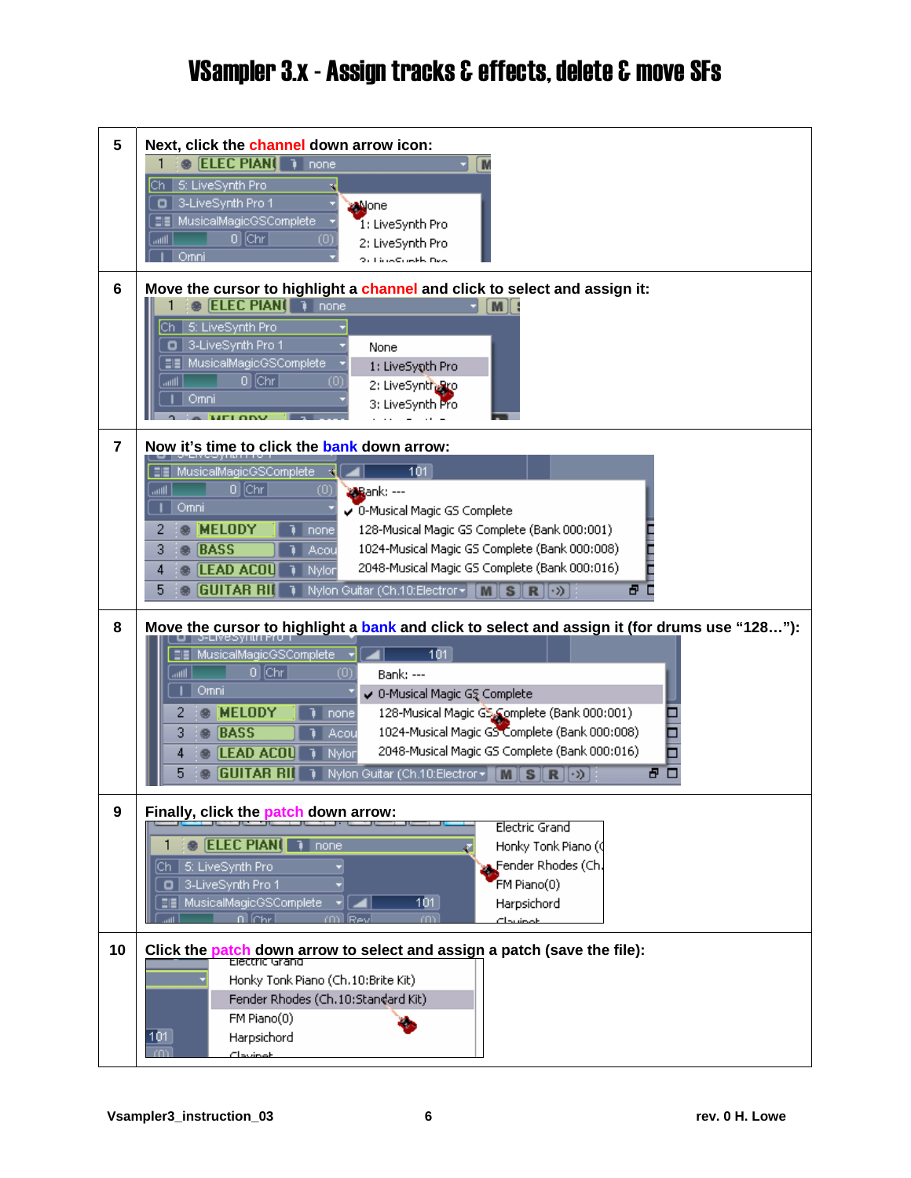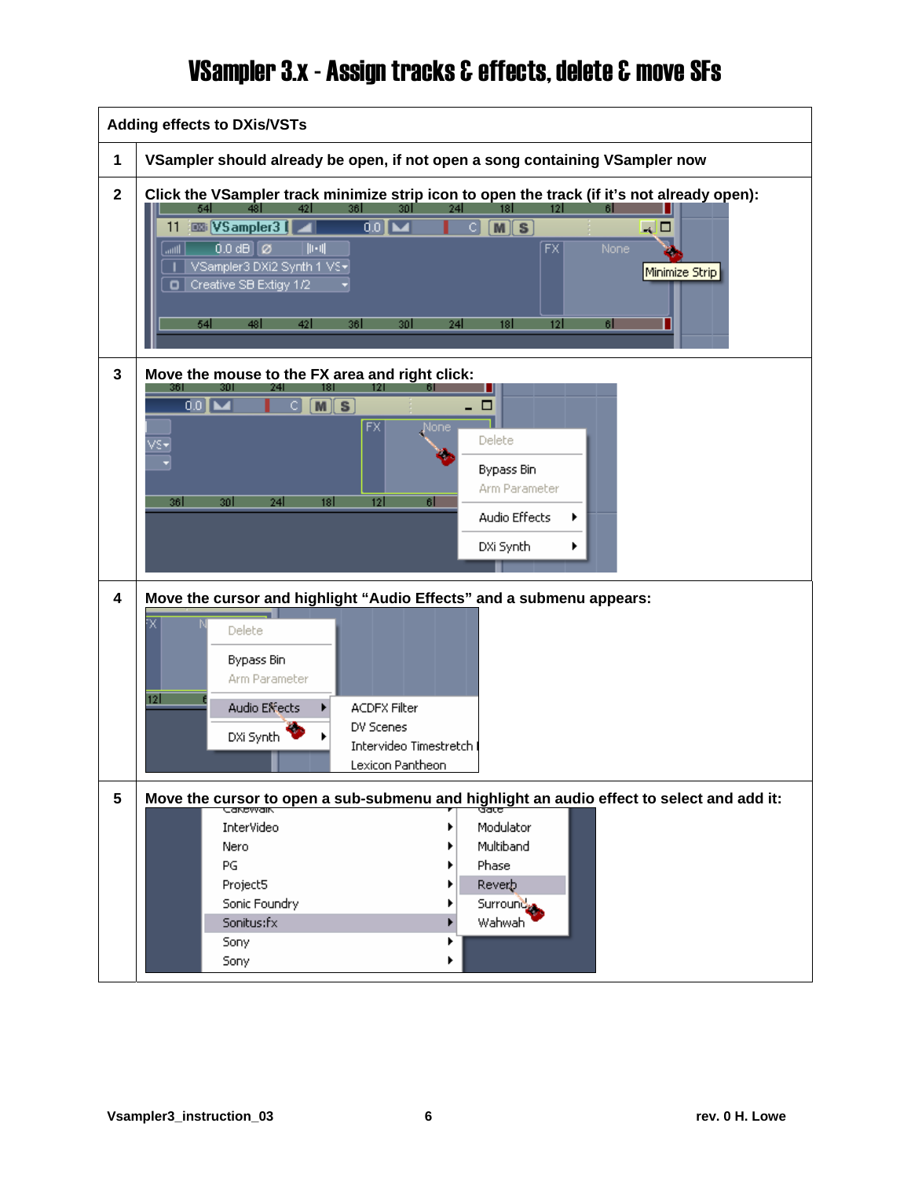<span id="page-2-0"></span>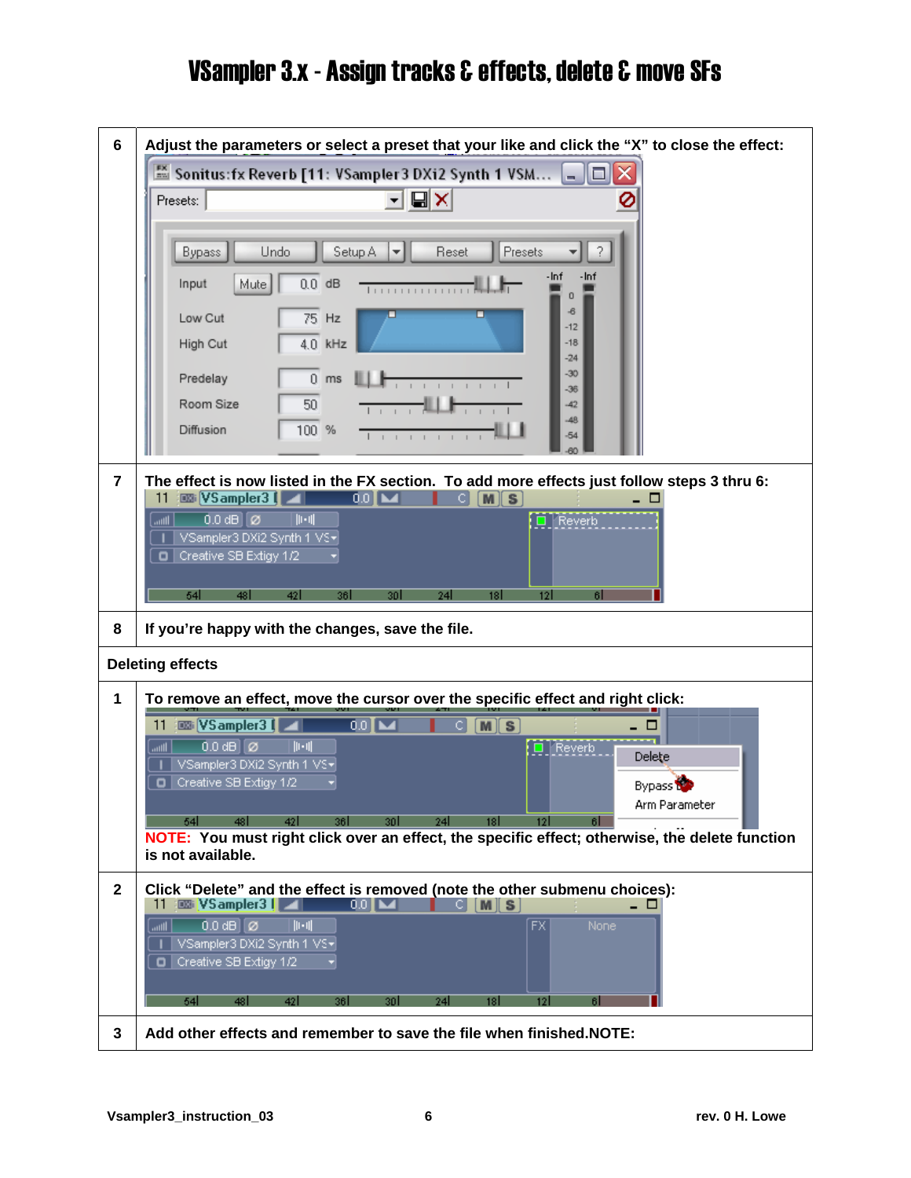<span id="page-3-0"></span>

| 6              | Adjust the parameters or select a preset that your like and click the "X" to close the effect:                                                                                                                                                                                                                                                                                                                        |  |  |  |
|----------------|-----------------------------------------------------------------------------------------------------------------------------------------------------------------------------------------------------------------------------------------------------------------------------------------------------------------------------------------------------------------------------------------------------------------------|--|--|--|
|                | Sonitus:fx Reverb [11: VSampler 3 DXi2 Synth 1 VSM<br>□<br>÷.                                                                                                                                                                                                                                                                                                                                                         |  |  |  |
|                | Presets:                                                                                                                                                                                                                                                                                                                                                                                                              |  |  |  |
|                | Presets<br>Undo<br>Setup A<br>Reset<br><b>Bypass</b><br>-Inf<br>-Inf<br>$0.0$ dB<br>Input<br>Mute<br>-6<br>Low Cut<br>75 Hz<br>$-12$<br>$4.0$ kHz<br>$-18$<br>High Cut<br>$-24$<br>$-30$<br>$0$ ms<br>Predelay<br>$-36$<br>Room Size<br>50 <sup>°</sup><br>$-42$<br>$-48$<br>Diffusion<br>100 %<br>$-54$<br>$\mathbf{L}$                                                                                              |  |  |  |
| $\overline{7}$ | The effect is now listed in the FX section. To add more effects just follow steps 3 thru 6:<br>$0.0$ $\blacksquare$<br><b>EXP</b> VSampler3   4<br>c.<br>M[S]<br>11<br>□<br>$0.0$ dB $\varnothing$<br>$E$ Reverb<br>$\ \cdot\ $<br>lllin.<br>VSampler3 DXi2 Synth 1 VS+<br>Creative SB Extigy 1/2<br>o<br>54<br>48 I<br>24<br>121<br>421<br>361<br>30 I<br>18 I<br>61                                                 |  |  |  |
| 8              | If you're happy with the changes, save the file.                                                                                                                                                                                                                                                                                                                                                                      |  |  |  |
|                | <b>Deleting effects</b>                                                                                                                                                                                                                                                                                                                                                                                               |  |  |  |
| 1              | To remove an effect, move the cursor over the specific effect and right click:                                                                                                                                                                                                                                                                                                                                        |  |  |  |
|                | 图 VSampler31<br>$00$ M<br>$[M]$ S<br>11<br>сı<br>□<br>$0.0$ dB $\boxed{\emptyset}$<br>$  \cdot  $<br>$E$ Reverb<br><b>Illin</b><br>Delete<br>VSampler3 DXi2 Synth 1 VS+<br>Creative SB Extigy 1/2<br>o<br>Bypass <sup>1</sup><br>Arm Parameter<br>54<br>48 I<br>361<br>30 I<br>24<br>181<br>61<br>NOTE: You must right click over an effect, the specific effect; otherwise, the delete function<br>is not available. |  |  |  |
| $\mathbf{2}$   | Click "Delete" and the effect is removed (note the other submenu choices):<br>   VSampler3   <br>11<br>00 <b>M</b><br> M S <br>СI<br>$0.0$ dB $\boxed{\emptyset}$<br>$  \cdot   $<br>$\overline{FX}$<br>None:<br>اااات<br>VSampler3 DXi2 Synth 1 VS+<br>Creative SB Extigy 1/2                                                                                                                                        |  |  |  |
|                | 54<br>48<br>42<br>361<br>30<br>24                                                                                                                                                                                                                                                                                                                                                                                     |  |  |  |
|                |                                                                                                                                                                                                                                                                                                                                                                                                                       |  |  |  |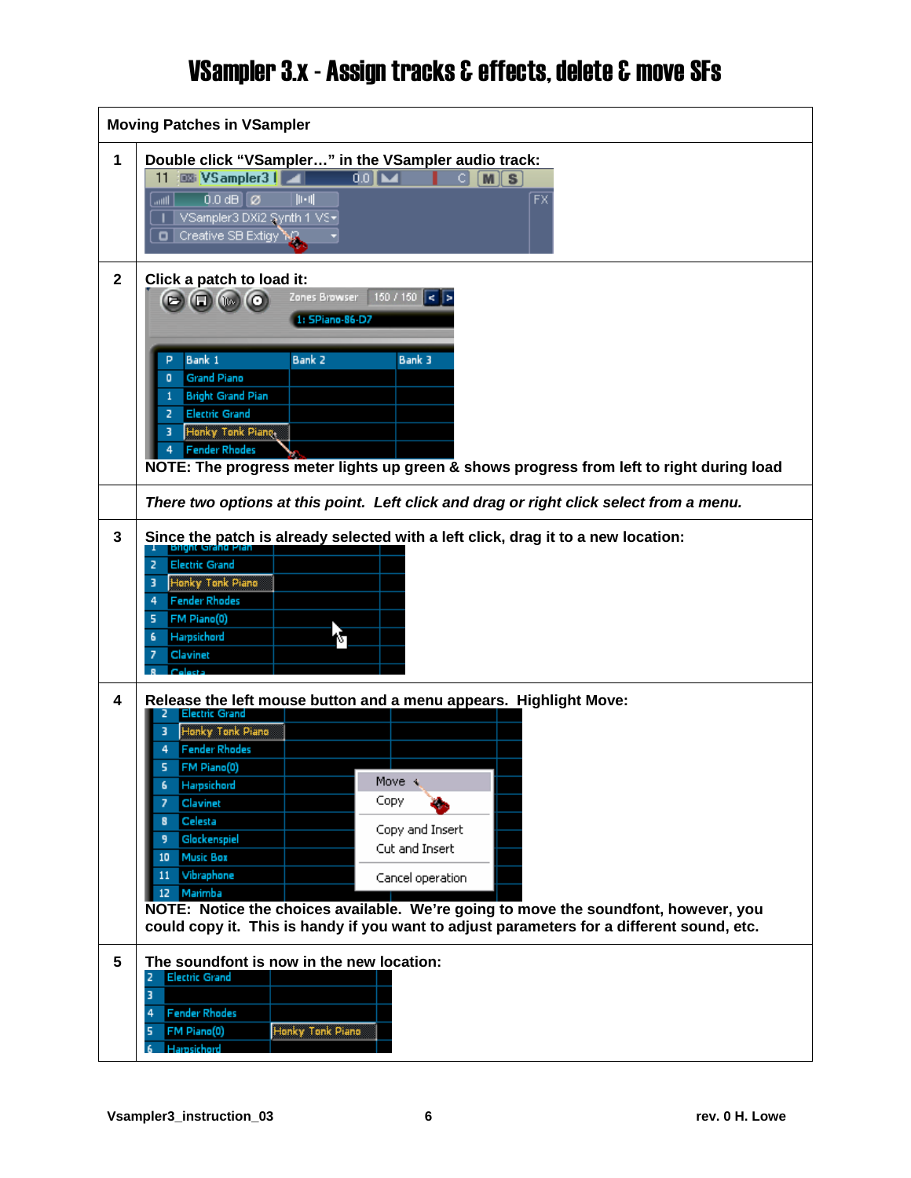<span id="page-4-0"></span>

| <b>Moving Patches in VSampler</b> |                                                                                                                                                                                                                                                                                                                                                                                                                                                                                                                                                           |  |  |  |
|-----------------------------------|-----------------------------------------------------------------------------------------------------------------------------------------------------------------------------------------------------------------------------------------------------------------------------------------------------------------------------------------------------------------------------------------------------------------------------------------------------------------------------------------------------------------------------------------------------------|--|--|--|
| 1                                 | Double click "VSampler" in the VSampler audio track:<br>图 VSampler3    <br>$001-$<br>11<br>$M \, \parallel S$<br>C I<br>$0.0$ dB $\boxed{\emptyset}$<br>$\overline{\mathsf{FX}}$<br>$  \cdot   $<br>lllin.<br>VSampler3 DXi2 Synth 1 VS+<br>Creative SB Extigy AC                                                                                                                                                                                                                                                                                         |  |  |  |
| $\mathbf{2}$                      | Click a patch to load it:<br>Zones Browser<br>150 / 150<br>ll< l><br>$\Box$ $\Box$ $\Box$ $\odot$<br>1: SPiano-86-D7<br>Bank 1<br>Bank <sub>2</sub><br><b>Bank 3</b><br>р<br><b>Grand Piano</b><br>o<br><b>Bright Grand Pian</b><br><b>Electric Grand</b><br>Honky Tonk Piane,<br><b>Fender Rhodes</b><br>NOTE: The progress meter lights up green & shows progress from left to right during load                                                                                                                                                        |  |  |  |
|                                   | There two options at this point. Left click and drag or right click select from a menu.                                                                                                                                                                                                                                                                                                                                                                                                                                                                   |  |  |  |
| 3                                 | Since the patch is already selected with a left click, drag it to a new location:<br><b>Electric Grand</b><br>$\overline{2}$<br>Honky Tonk Piano<br>з<br><b>Fender Rhodes</b><br>4 <sup>1</sup><br>FM Piano(0)<br>5.<br>Harpsichord<br>6<br>Clavinet                                                                                                                                                                                                                                                                                                      |  |  |  |
| 4                                 | Release the left mouse button and a menu appears. Highlight Move:<br><b>Electric Grand</b><br>Honky Tonk Piano<br><b>Fender Rhodes</b><br>FM Piano(0)<br>Move $\leftarrow$<br>Harpsichord<br>6<br>Copy<br>Clavinet<br>Celesta<br>Copy and Insert<br>Glockenspiel<br>Cut and Insert<br><b>Music Box</b><br>10<br>Vibraphone<br>11<br>Cancel operation<br>Marimba<br>12<br>NOTE: Notice the choices available. We're going to move the soundfont, however, you<br>could copy it. This is handy if you want to adjust parameters for a different sound, etc. |  |  |  |
| $5\phantom{.0}$                   | The soundfont is now in the new location:<br><b>Electric Grand</b><br>2<br>3<br><b>Fender Rhodes</b><br>4<br>Honky Tonk Piano<br>FM Piano(0)<br>5<br>Harpsichord                                                                                                                                                                                                                                                                                                                                                                                          |  |  |  |